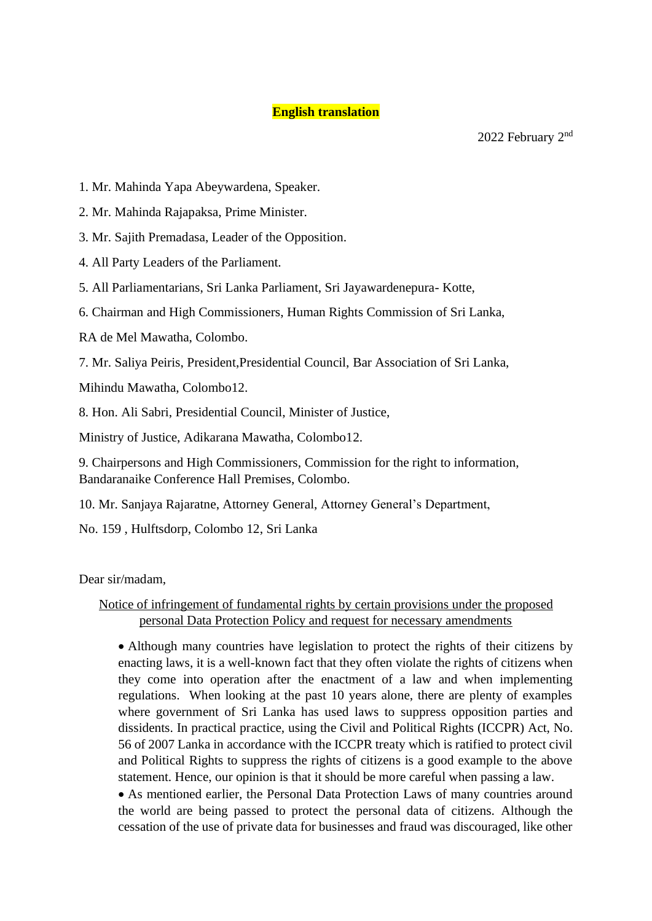# **English translation**

- 1. Mr. Mahinda Yapa Abeywardena, Speaker.
- 2. Mr. Mahinda Rajapaksa, Prime Minister.
- 3. Mr. Sajith Premadasa, Leader of the Opposition.
- 4. All Party Leaders of the Parliament.
- 5. All Parliamentarians, Sri Lanka Parliament, Sri Jayawardenepura- Kotte,
- 6. Chairman and High Commissioners, Human Rights Commission of Sri Lanka,
- RA de Mel Mawatha, Colombo.
- 7. Mr. Saliya Peiris, President,Presidential Council, Bar Association of Sri Lanka,

Mihindu Mawatha, Colombo12.

8. Hon. Ali Sabri, Presidential Council, Minister of Justice,

Ministry of Justice, Adikarana Mawatha, Colombo12.

9. Chairpersons and High Commissioners, Commission for the right to information, Bandaranaike Conference Hall Premises, Colombo.

10. Mr. Sanjaya Rajaratne, Attorney General, Attorney General's Department,

No. 159 , Hulftsdorp, Colombo 12, Sri Lanka

Dear sir/madam,

# Notice of infringement of fundamental rights by certain provisions under the proposed personal Data Protection Policy and request for necessary amendments

• Although many countries have legislation to protect the rights of their citizens by enacting laws, it is a well-known fact that they often violate the rights of citizens when they come into operation after the enactment of a law and when implementing regulations. When looking at the past 10 years alone, there are plenty of examples where government of Sri Lanka has used laws to suppress opposition parties and dissidents. In practical practice, using the Civil and Political Rights (ICCPR) Act, No. 56 of 2007 Lanka in accordance with the ICCPR treaty which is ratified to protect civil and Political Rights to suppress the rights of citizens is a good example to the above statement. Hence, our opinion is that it should be more careful when passing a law.

• As mentioned earlier, the Personal Data Protection Laws of many countries around the world are being passed to protect the personal data of citizens. Although the cessation of the use of private data for businesses and fraud was discouraged, like other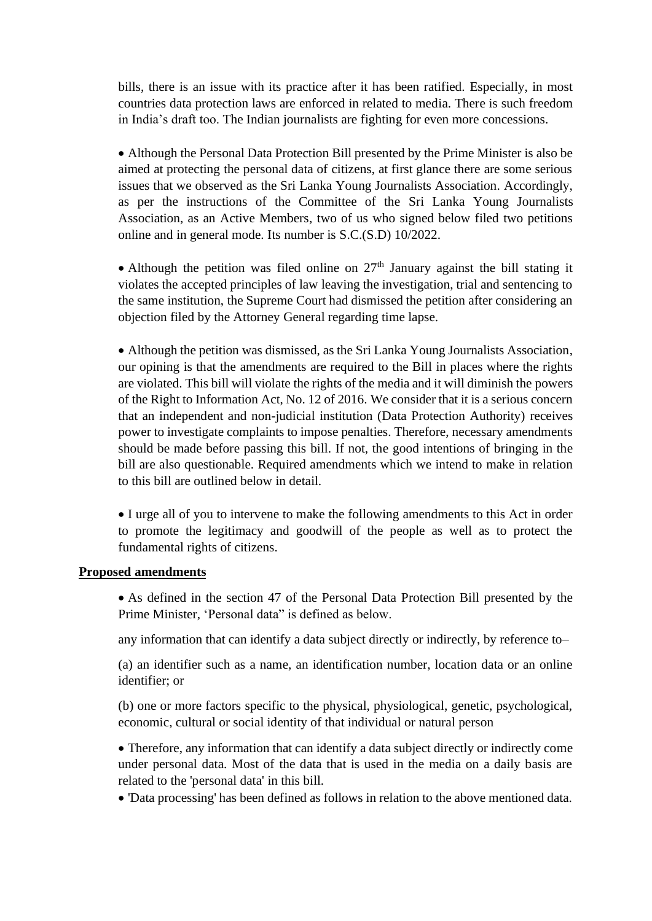bills, there is an issue with its practice after it has been ratified. Especially, in most countries data protection laws are enforced in related to media. There is such freedom in India's draft too. The Indian journalists are fighting for even more concessions.

• Although the Personal Data Protection Bill presented by the Prime Minister is also be aimed at protecting the personal data of citizens, at first glance there are some serious issues that we observed as the Sri Lanka Young Journalists Association. Accordingly, as per the instructions of the Committee of the Sri Lanka Young Journalists Association, as an Active Members, two of us who signed below filed two petitions online and in general mode. Its number is S.C.(S.D) 10/2022.

• Although the petition was filed online on  $27<sup>th</sup>$  January against the bill stating it violates the accepted principles of law leaving the investigation, trial and sentencing to the same institution, the Supreme Court had dismissed the petition after considering an objection filed by the Attorney General regarding time lapse.

• Although the petition was dismissed, as the Sri Lanka Young Journalists Association, our opining is that the amendments are required to the Bill in places where the rights are violated. This bill will violate the rights of the media and it will diminish the powers of the Right to Information Act, No. 12 of 2016. We consider that it is a serious concern that an independent and non-judicial institution (Data Protection Authority) receives power to investigate complaints to impose penalties. Therefore, necessary amendments should be made before passing this bill. If not, the good intentions of bringing in the bill are also questionable. Required amendments which we intend to make in relation to this bill are outlined below in detail.

• I urge all of you to intervene to make the following amendments to this Act in order to promote the legitimacy and goodwill of the people as well as to protect the fundamental rights of citizens.

## **Proposed amendments**

• As defined in the section 47 of the Personal Data Protection Bill presented by the Prime Minister, 'Personal data" is defined as below.

any information that can identify a data subject directly or indirectly, by reference to–

(a) an identifier such as a name, an identification number, location data or an online identifier; or

(b) one or more factors specific to the physical, physiological, genetic, psychological, economic, cultural or social identity of that individual or natural person

• Therefore, any information that can identify a data subject directly or indirectly come under personal data. Most of the data that is used in the media on a daily basis are related to the 'personal data' in this bill.

• 'Data processing' has been defined as follows in relation to the above mentioned data.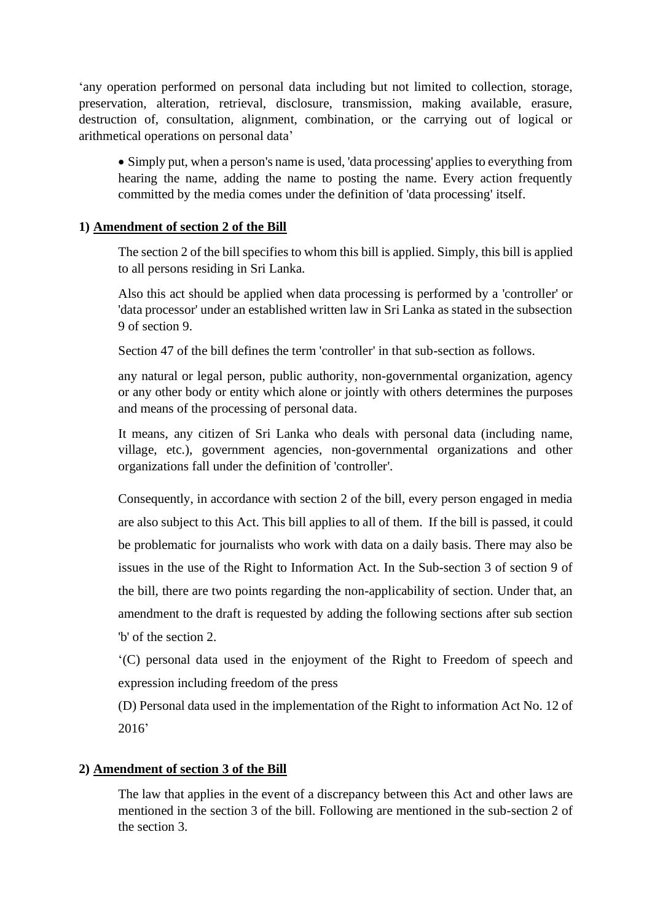'any operation performed on personal data including but not limited to collection, storage, preservation, alteration, retrieval, disclosure, transmission, making available, erasure, destruction of, consultation, alignment, combination, or the carrying out of logical or arithmetical operations on personal data'

• Simply put, when a person's name is used, 'data processing' applies to everything from hearing the name, adding the name to posting the name. Every action frequently committed by the media comes under the definition of 'data processing' itself.

# **1) Amendment of section 2 of the Bill**

The section 2 of the bill specifies to whom this bill is applied. Simply, this bill is applied to all persons residing in Sri Lanka.

Also this act should be applied when data processing is performed by a 'controller' or 'data processor' under an established written law in Sri Lanka as stated in the subsection 9 of section 9.

Section 47 of the bill defines the term 'controller' in that sub-section as follows.

any natural or legal person, public authority, non-governmental organization, agency or any other body or entity which alone or jointly with others determines the purposes and means of the processing of personal data.

It means, any citizen of Sri Lanka who deals with personal data (including name, village, etc.), government agencies, non-governmental organizations and other organizations fall under the definition of 'controller'.

Consequently, in accordance with section 2 of the bill, every person engaged in media are also subject to this Act. This bill applies to all of them. If the bill is passed, it could be problematic for journalists who work with data on a daily basis. There may also be issues in the use of the Right to Information Act. In the Sub-section 3 of section 9 of the bill, there are two points regarding the non-applicability of section. Under that, an amendment to the draft is requested by adding the following sections after sub section 'b' of the section 2.

'(C) personal data used in the enjoyment of the Right to Freedom of speech and expression including freedom of the press

(D) Personal data used in the implementation of the Right to information Act No. 12 of 2016'

# **2) Amendment of section 3 of the Bill**

The law that applies in the event of a discrepancy between this Act and other laws are mentioned in the section 3 of the bill. Following are mentioned in the sub-section 2 of the section 3.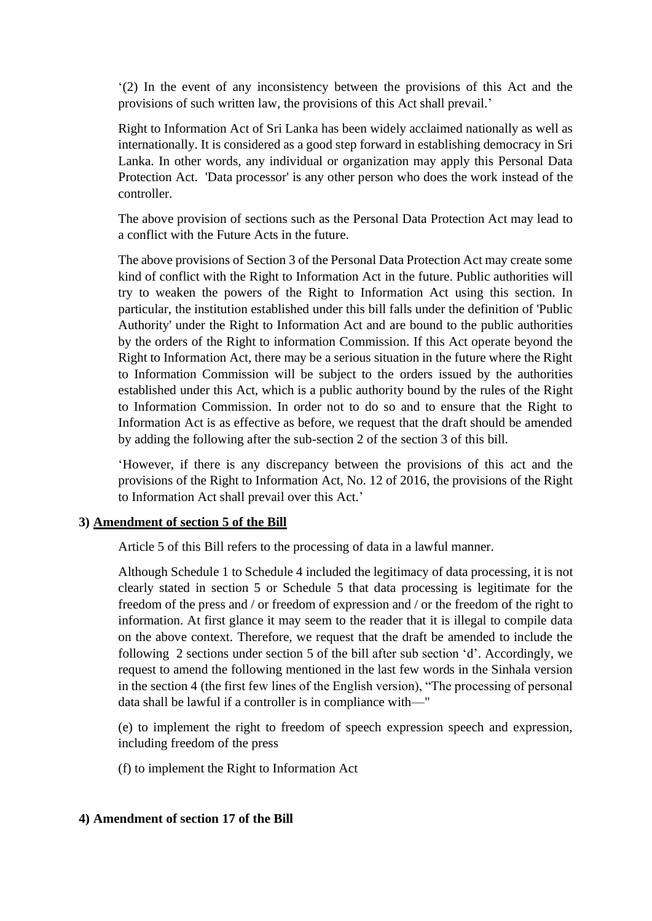'(2) In the event of any inconsistency between the provisions of this Act and the provisions of such written law, the provisions of this Act shall prevail.'

Right to Information Act of Sri Lanka has been widely acclaimed nationally as well as internationally. It is considered as a good step forward in establishing democracy in Sri Lanka. In other words, any individual or organization may apply this Personal Data Protection Act. 'Data processor' is any other person who does the work instead of the controller.

The above provision of sections such as the Personal Data Protection Act may lead to a conflict with the Future Acts in the future.

The above provisions of Section 3 of the Personal Data Protection Act may create some kind of conflict with the Right to Information Act in the future. Public authorities will try to weaken the powers of the Right to Information Act using this section. In particular, the institution established under this bill falls under the definition of 'Public Authority' under the Right to Information Act and are bound to the public authorities by the orders of the Right to information Commission. If this Act operate beyond the Right to Information Act, there may be a serious situation in the future where the Right to Information Commission will be subject to the orders issued by the authorities established under this Act, which is a public authority bound by the rules of the Right to Information Commission. In order not to do so and to ensure that the Right to Information Act is as effective as before, we request that the draft should be amended by adding the following after the sub-section 2 of the section 3 of this bill.

'However, if there is any discrepancy between the provisions of this act and the provisions of the Right to Information Act, No. 12 of 2016, the provisions of the Right to Information Act shall prevail over this Act.'

### **3) Amendment of section 5 of the Bill**

Article 5 of this Bill refers to the processing of data in a lawful manner.

Although Schedule 1 to Schedule 4 included the legitimacy of data processing, it is not clearly stated in section 5 or Schedule 5 that data processing is legitimate for the freedom of the press and / or freedom of expression and / or the freedom of the right to information. At first glance it may seem to the reader that it is illegal to compile data on the above context. Therefore, we request that the draft be amended to include the following 2 sections under section 5 of the bill after sub section 'd'. Accordingly, we request to amend the following mentioned in the last few words in the Sinhala version in the section 4 (the first few lines of the English version), "The processing of personal data shall be lawful if a controller is in compliance with—"

(e) to implement the right to freedom of speech expression speech and expression, including freedom of the press

(f) to implement the Right to Information Act

# **4) Amendment of section 17 of the Bill**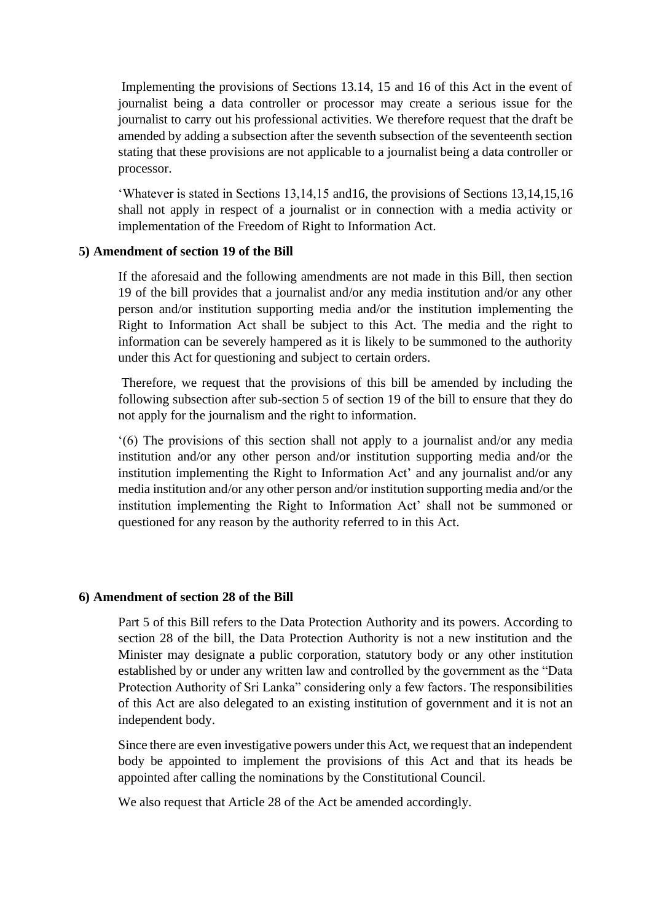Implementing the provisions of Sections 13.14, 15 and 16 of this Act in the event of journalist being a data controller or processor may create a serious issue for the journalist to carry out his professional activities. We therefore request that the draft be amended by adding a subsection after the seventh subsection of the seventeenth section stating that these provisions are not applicable to a journalist being a data controller or processor.

'Whatever is stated in Sections 13,14,15 and16, the provisions of Sections 13,14,15,16 shall not apply in respect of a journalist or in connection with a media activity or implementation of the Freedom of Right to Information Act.

### **5) Amendment of section 19 of the Bill**

If the aforesaid and the following amendments are not made in this Bill, then section 19 of the bill provides that a journalist and/or any media institution and/or any other person and/or institution supporting media and/or the institution implementing the Right to Information Act shall be subject to this Act. The media and the right to information can be severely hampered as it is likely to be summoned to the authority under this Act for questioning and subject to certain orders.

Therefore, we request that the provisions of this bill be amended by including the following subsection after sub-section 5 of section 19 of the bill to ensure that they do not apply for the journalism and the right to information.

'(6) The provisions of this section shall not apply to a journalist and/or any media institution and/or any other person and/or institution supporting media and/or the institution implementing the Right to Information Act' and any journalist and/or any media institution and/or any other person and/or institution supporting media and/or the institution implementing the Right to Information Act' shall not be summoned or questioned for any reason by the authority referred to in this Act.

#### **6) Amendment of section 28 of the Bill**

Part 5 of this Bill refers to the Data Protection Authority and its powers. According to section 28 of the bill, the Data Protection Authority is not a new institution and the Minister may designate a public corporation, statutory body or any other institution established by or under any written law and controlled by the government as the "Data Protection Authority of Sri Lanka" considering only a few factors. The responsibilities of this Act are also delegated to an existing institution of government and it is not an independent body.

Since there are even investigative powers under this Act, we request that an independent body be appointed to implement the provisions of this Act and that its heads be appointed after calling the nominations by the Constitutional Council.

We also request that Article 28 of the Act be amended accordingly.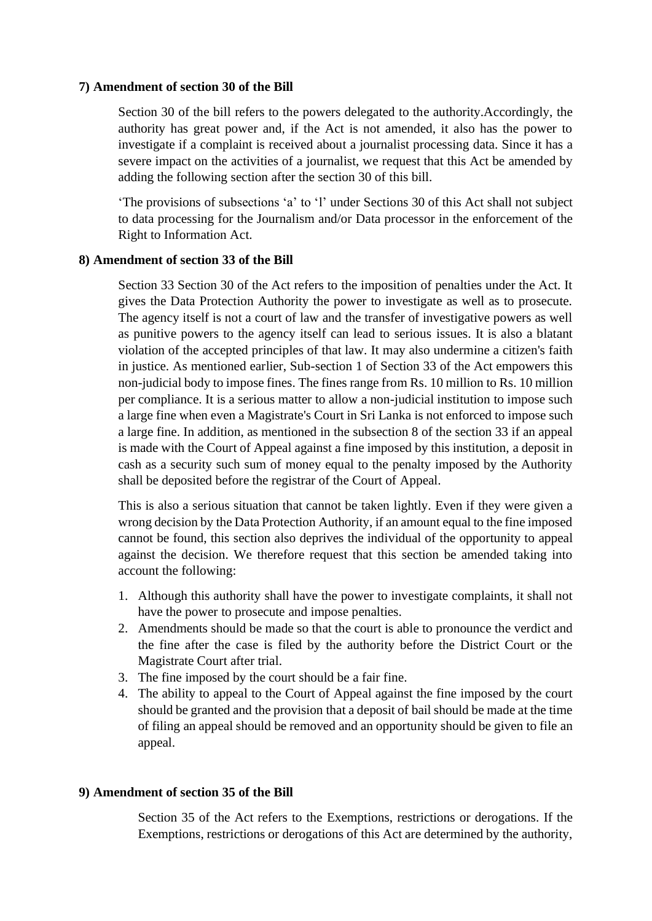### **7) Amendment of section 30 of the Bill**

Section 30 of the bill refers to the powers delegated to the authority.Accordingly, the authority has great power and, if the Act is not amended, it also has the power to investigate if a complaint is received about a journalist processing data. Since it has a severe impact on the activities of a journalist, we request that this Act be amended by adding the following section after the section 30 of this bill.

'The provisions of subsections 'a' to 'l' under Sections 30 of this Act shall not subject to data processing for the Journalism and/or Data processor in the enforcement of the Right to Information Act.

#### **8) Amendment of section 33 of the Bill**

Section 33 Section 30 of the Act refers to the imposition of penalties under the Act. It gives the Data Protection Authority the power to investigate as well as to prosecute. The agency itself is not a court of law and the transfer of investigative powers as well as punitive powers to the agency itself can lead to serious issues. It is also a blatant violation of the accepted principles of that law. It may also undermine a citizen's faith in justice. As mentioned earlier, Sub-section 1 of Section 33 of the Act empowers this non-judicial body to impose fines. The fines range from Rs. 10 million to Rs. 10 million per compliance. It is a serious matter to allow a non-judicial institution to impose such a large fine when even a Magistrate's Court in Sri Lanka is not enforced to impose such a large fine. In addition, as mentioned in the subsection 8 of the section 33 if an appeal is made with the Court of Appeal against a fine imposed by this institution, a deposit in cash as a security such sum of money equal to the penalty imposed by the Authority shall be deposited before the registrar of the Court of Appeal.

This is also a serious situation that cannot be taken lightly. Even if they were given a wrong decision by the Data Protection Authority, if an amount equal to the fine imposed cannot be found, this section also deprives the individual of the opportunity to appeal against the decision. We therefore request that this section be amended taking into account the following:

- 1. Although this authority shall have the power to investigate complaints, it shall not have the power to prosecute and impose penalties.
- 2. Amendments should be made so that the court is able to pronounce the verdict and the fine after the case is filed by the authority before the District Court or the Magistrate Court after trial.
- 3. The fine imposed by the court should be a fair fine.
- 4. The ability to appeal to the Court of Appeal against the fine imposed by the court should be granted and the provision that a deposit of bail should be made at the time of filing an appeal should be removed and an opportunity should be given to file an appeal.

### **9) Amendment of section 35 of the Bill**

Section 35 of the Act refers to the Exemptions, restrictions or derogations. If the Exemptions, restrictions or derogations of this Act are determined by the authority,